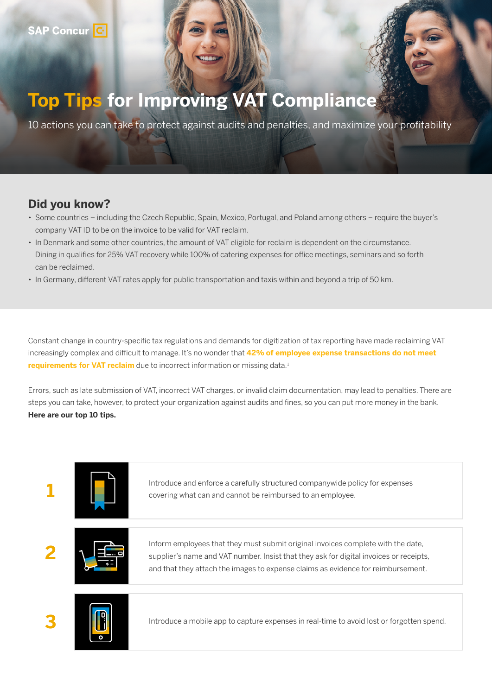## **Top Tips for Improving VAT Compliance**

10 actions you can take to protect against audits and penalties, and maximize your profitability

## **Did you know?**

- Some countries including the Czech Republic, Spain, Mexico, Portugal, and Poland among others require the buyer's company VAT ID to be on the invoice to be valid for VAT reclaim.
- In Denmark and some other countries, the amount of VAT eligible for reclaim is dependent on the circumstance. Dining in qualifies for 25% VAT recovery while 100% of catering expenses for office meetings, seminars and so forth can be reclaimed.
- In Germany, different VAT rates apply for public transportation and taxis within and beyond a trip of 50 km.

Constant change in country-specific tax regulations and demands for digitization of tax reporting have made reclaiming VAT increasingly complex and difficult to manage. It's no wonder that **42% of employee expense transactions do not meet requirements for VAT reclaim** due to incorrect information or missing data.<sup>1</sup>

Errors, such as late submission of VAT, incorrect VAT charges, or invalid claim documentation, may lead to penalties. There are steps you can take, however, to protect your organization against audits and fines, so you can put more money in the bank. **Here are our top 10 tips.**

|  | Introduce and enforce a carefully structured companywide policy for expenses<br>covering what can and cannot be reimbursed to an employee.                                                                                                                     |
|--|----------------------------------------------------------------------------------------------------------------------------------------------------------------------------------------------------------------------------------------------------------------|
|  | Inform employees that they must submit original invoices complete with the date,<br>supplier's name and VAT number. Insist that they ask for digital invoices or receipts,<br>and that they attach the images to expense claims as evidence for reimbursement. |
|  | Introduce a mobile app to capture expenses in real-time to avoid lost or forgotten spend.                                                                                                                                                                      |